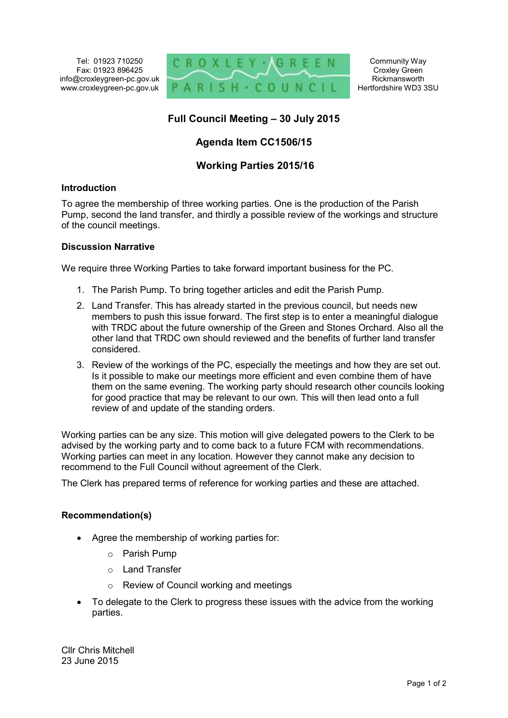Tel: 01923 710250 Fax: 01923 896425 info@croxleygreen-pc.gov.uk www.croxleygreen-pc.gov.uk



# **Full Council Meeting – 30 July 2015**

# **Agenda Item CC1506/15**

## **Working Parties 2015/16**

#### **Introduction**

To agree the membership of three working parties. One is the production of the Parish Pump, second the land transfer, and thirdly a possible review of the workings and structure of the council meetings.

#### **Discussion Narrative**

We require three Working Parties to take forward important business for the PC.

- 1. The Parish Pump. To bring together articles and edit the Parish Pump.
- 2. Land Transfer. This has already started in the previous council, but needs new members to push this issue forward. The first step is to enter a meaningful dialogue with TRDC about the future ownership of the Green and Stones Orchard. Also all the other land that TRDC own should reviewed and the benefits of further land transfer considered.
- 3. Review of the workings of the PC, especially the meetings and how they are set out. Is it possible to make our meetings more efficient and even combine them of have them on the same evening. The working party should research other councils looking for good practice that may be relevant to our own. This will then lead onto a full review of and update of the standing orders.

Working parties can be any size. This motion will give delegated powers to the Clerk to be advised by the working party and to come back to a future FCM with recommendations. Working parties can meet in any location. However they cannot make any decision to recommend to the Full Council without agreement of the Clerk.

The Clerk has prepared terms of reference for working parties and these are attached.

### **Recommendation(s)**

- Agree the membership of working parties for:
	- o Parish Pump
	- o Land Transfer
	- o Review of Council working and meetings
- To delegate to the Clerk to progress these issues with the advice from the working parties.

Cllr Chris Mitchell 23 June 2015